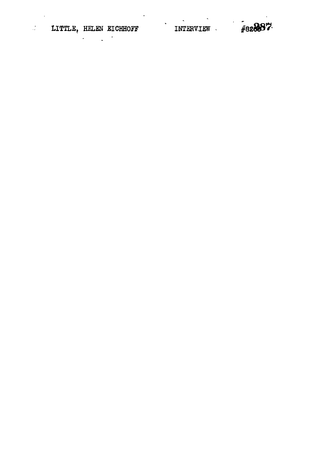$\mathbf{L}$ 

 $\omega$ 

 $\bullet$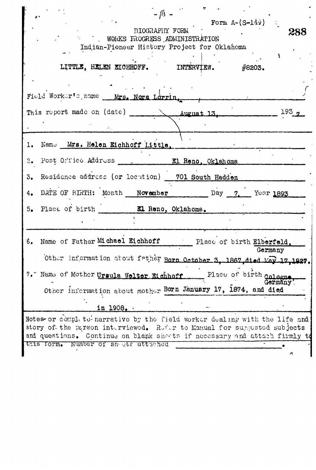| $-18 -$<br>Form $A-(S-149)$<br>BIOGRAPHY FORM<br>288<br>WORKS FROGRESS ADMINISTRATION<br>Indian-Pioneer History Project for Oklahoma                                                                                                                                       |
|----------------------------------------------------------------------------------------------------------------------------------------------------------------------------------------------------------------------------------------------------------------------------|
|                                                                                                                                                                                                                                                                            |
| LITTLE, HELEN EICHHOFF.<br>INTERVIEW.<br>#8203.                                                                                                                                                                                                                            |
| Field Worker's name Mrs. Nora Lorrin,                                                                                                                                                                                                                                      |
| This report made on (date) August 13<br>193 <sub>2</sub>                                                                                                                                                                                                                   |
| Name Mrs. Helen Eichhoff Little.<br>ı.                                                                                                                                                                                                                                     |
| 2.                                                                                                                                                                                                                                                                         |
| Residence address (or locution) 701 South Hadden<br>3.                                                                                                                                                                                                                     |
| DATE OF BIRTH: Month November Day 7, Year 1893<br>4.                                                                                                                                                                                                                       |
| 5. Place of birth Kl Reno, Oklahoma.                                                                                                                                                                                                                                       |
| Name of Father Michael Eichhoff Place of birth Elberfeld,<br>Έó.<br>Germany<br>Other information about father Born October 3, 1867, died May 17, 1927.                                                                                                                     |
| Place of birth cologne<br>7. Name of Mother Ursula Welter Eichhoff<br>Germany'<br>Other information about mother Born January 17, 1874, and died                                                                                                                           |
| in 1908.                                                                                                                                                                                                                                                                   |
| Notes- or complete-narrative by the field worker dealing with the life and<br>story of the parson interviewed. Refer to Manual for supposted subjects<br>and questions. Continue on blank sheets if necessary and attach firmly to<br>this form. Number of sn att attached |
|                                                                                                                                                                                                                                                                            |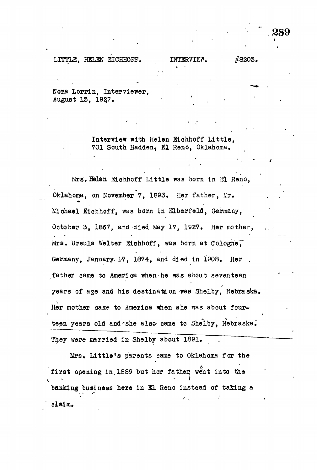## LITTLE, HELEN EICHHOFF. INTERVIEW. #8203.

Nora Lorrin, Interviewer, August 13, 1927.

> Interview with Helen Eichboff Little, 701 South Hadden, El Reno, Oklahoma,

Mrs'. Belan Eichhoff Little was born in SI Reno, Oklahoma, on November 7, 1893. Her father, Mr. Miohael Eichhoff, was born in Elberfeld, Germany, October 3, 1867, and died May 17, 1927. Her mother, Mrs. Ursula Welter Eichhoff, was born at Cologne. Germany, January. 17, 1874, and died in 1908. Her father came to America when-he was about seventeen years of age and his destination -was Shelby, Nebraska, Her mother cane to America when she was about fourteen years old and she also came to Shelby, Nebraska.

They were married in Shelby about 1891.

Mrs, Little's parents came to Oklahoma for the first opening in 1889 but her father went into the banking business here in SI Reno instead of ta&ing a , • • f  $t$  ,  $\ldots$  ,  $\ldots$  ,  $\ldots$ claim.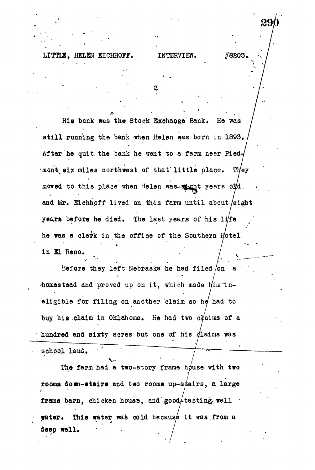## **LITTLE,** HELEN EICHHOFF. INTERVIEW. **#8203.,**

2

His bank was the Stock Exohange Bank. He was still running the bank when Helen was born in 1893. After he quit the bank he went to a farm neer Pied-*'mont* six miles northwest of that little place. They moved to this place when Helen was wicht years old. and Mr. Eichhoff lived on this farm until about eight years before he died. The last years of his  $11$ /fe he was a clerk in the office of the Southern Hotel in El Reno.

Before they left Nebraska he had filed /on  $\mathbf{a}$ homestead and proved up on it, which made  $\n *l*$ im lneligible for filing on another claim so  $h\phi$  had to buy his claim in Oklahoma. He had two claims of a bundred and sixty acres but one of his  $d$ laims was

school land.

**V** The farm had a two-story frame house with two rooms down-stairs and two rooms up-stairs, a large frame barn, chicken house, and good $\neq$ tasting well  $\frac{1}{2}$   $\frac{1}{2}$   $\frac{1}{2}$   $\frac{1}{2}$   $\frac{1}{2}$   $\frac{1}{2}$   $\frac{1}{2}$   $\frac{1}{2}$   $\frac{1}{2}$   $\frac{1}{2}$   $\frac{1}{2}$   $\frac{1}{2}$   $\frac{1}{2}$   $\frac{1}{2}$   $\frac{1}{2}$   $\frac{1}{2}$   $\frac{1}{2}$   $\frac{1}{2}$   $\frac{1}{2}$   $\frac{1}{2}$   $\frac{1}{2}$   $\frac{1}{2}$  deep well.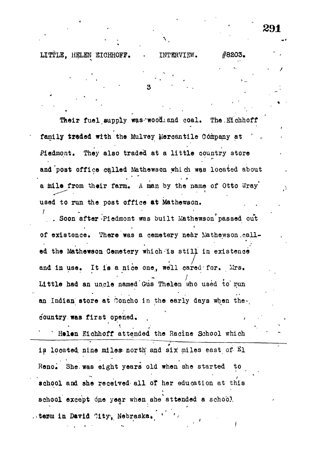LITTLE, HELEN EICHHOFF. . INTERVIEW. #8203.

**\**

Their fuel supply was wood.and coal. The Eichhoff family traded with the Mulvey Mercantile Company at Piedmont. They also traded at a little country store and'post office called Mathewson which was located about a mile from their farm. A man by the name of Otto Wray used to run the post office at Mathewson.

. Soon after Piedmont was built Mathewson passed out of existence. There was a cemetery near Nathewson called the Mathewson Cemetery which is still in existence ed the Mathewson Cemetery which-is still in existence **r** and in use of the use of the use of the use of the use of the use of the use of the use of the use of the use o<br>The use of the use of the use of the use of the use of the use of the use of the use of the use of the use of Little had an uncle named Gus Thelen who used to run  $\mathcal{L}_\mathcal{A}$ an Indian store at Ooncho in the early days when the early days when the early days when the early days when t<br>. The early days when the early days when the early days when the early days when the early days when the earl country was first opened. country, was first opened, . ,  $\mathcal{C}^{\mathcal{A}}$  ,  $\mathcal{C}^{\mathcal{A}}$  ,  $\mathcal{C}^{\mathcal{A}}$  ,  $\mathcal{C}^{\mathcal{A}}$  ,  $\mathcal{C}^{\mathcal{A}}$  ,  $\mathcal{C}^{\mathcal{A}}$  ,  $\mathcal{C}^{\mathcal{A}}$  ,  $\mathcal{C}^{\mathcal{A}}$  ,  $\mathcal{C}^{\mathcal{A}}$  ,  $\mathcal{C}^{\mathcal{A}}$  ,  $\mathcal{C}^{\math$ 

" H»l«n Eiahhoff attended the Racine School which is located nine miles north and six miles east of  $E_1$ Reno. She, was eight years old when she started to school and she received all of her education at this school except one year when she attended a school. . term in David City, Nebraska.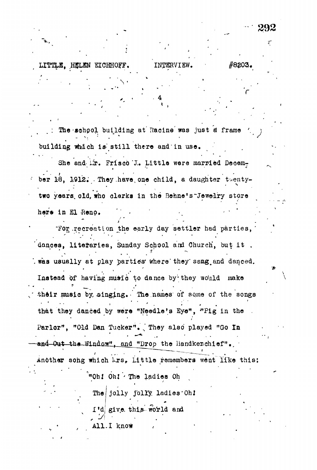The school building at Racine was just a frame .•-.'••." ' . ' building which is still there and in use.

**- • • 4**

**•**

**LITTLK, HJ5LEN EICHHOFF, INTERVIEW. #8£03 .**

She and ir. Frisco J. Little were married December 18, 1912. They have one child, a daughter twentytwo years, old, who clerks in the Behne's Jewelry store

here in El Reno.

 $\mathcal{I}_{\mathcal{A}}$  is the set of the set of the set of the set of the set of the set of the set of the set of the set of the set of the set of the set of the set of the set of the set of the set of the set of the set of the s ror recreation the early day settler had parties, dances, literaries, Sunday School and Church, but it. *s'* was usually at play parties where they sang and danced. **f** و به این مقابل میکند.<br>با که این را به این مقابل مقابل مقابل مقابل مقابل مقابل مقابل مقابل مقابل مقابل مقابل مقابل مقابل مقابل مقابل<br>این مقابل مقابل مقابل مقابل مقابل مقابل مقابل مقابل مقابل مقابل مقابل مقابل مقابل مقابل Instead of having music to dance by they would make their music by singing. The names of some of the songs  $\bullet$  . It is possible to the contribution of the contribution  $\mathcal{L}$ that t.hey danced by wera "Needle's Eye<sup>n</sup> , -"Pig in the .

Parlor", "Old Dan Tucker". .," They also' played "Go In and Out the Window", and "Drop the Handkerchief".  $\overline{a}$  -chief -different the landscapital the landscapital  $\overline{a}$ 

Another song which krs, Little remembers went like this: Another sohg which krs, Littl e remembers went lfke this;

> "Oh! Oh! The ladies Oh '"Obi Oh I" The ladies Oh I" The ladies Oh I" The ladies Oh I" The ladies Oh I" The ladies Oh I" The ladies Oh<br>The ladies Oh I" The ladies Oh I" The ladies Oh I" The ladies Oh I" The ladies Oh I" The ladies Oh I" The ladi

The jolly jolly ladies Oh!

I'd give this world and

All.I know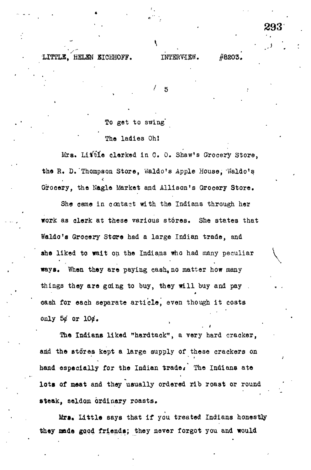## •LITILK,"HELEN BIOHHOFF. INTERVIEW.

 $\bf{1}$  •  $\bf{1}$  •  $\bf{1}$  •  $\bf{1}$  •  $\bf{1}$  •  $\bf{1}$  •  $\bf{1}$  •  $\bf{1}$  •  $\bf{1}$  •  $\bf{1}$  •  $\bf{1}$  •  $\bf{1}$  •  $\bf{1}$  •  $\bf{1}$  •  $\bf{1}$  •  $\bf{1}$  •  $\bf{1}$  •  $\bf{1}$  •  $\bf{1}$  •  $\bf{1}$  •  $\bf{1}$  •  $\bf{1}$  •

**293**

5

To get to swing'

## The ladies Oh!

Mrs. Little clerked in C. O. Shaw's Grocery Store, the R. D. Thompson Store, Waldo's Apple House, Waldo's Grocery, the Nagle Market and Allison's Grocery Store.

She came in contact with the Indians through her work as clerk at these various st6res. She states that Waldo's Grocery Store had a large Indian trade, and she liked to wait on the Indians who had many peculiar ways. When they are paying cash, no matter how many things they are going to buy, they will buy and pay . oash for each separate article, even though it costs only  $54$  or  $104.$ 

The Indians liked "hardtack", a very hard cracker, and the stores kept a large supply of these crackers on hand especially for the Indian trade. The Indians ate lots of meat and they usually ordered rib roast or round steak, seldom ordinary roasts.

Mrs. Little says that if you treated Indians honestly they made good friends; they never forgot you and would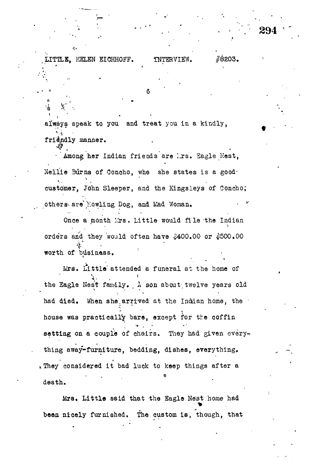**always speak to you and treat** you **in a kindly, '\* \ • friendly manner.**

.LITTLE, HELEN EICHHOFF. INTERVIEW. #8203.

**'\*' ' '**

**\* « ' •**

**\*. \* 6 '**

**. 294**

Among her Indian friends are irs. Eagle Nest, *•* Among her Indian friends are I.jrs. Sagle Kest,  $K_{\rm eff}$  3urna of  $N_{\rm eff}$  3urna of  $N_{\rm eff}$  states is a good-states is a good-states is a good-states is a good-states is a good-states is a good-states is a good-states is a good-states in  $\sim$ customer, John Sleeper, John Sleeper, and the Kingsleys of Conceptual Conceptual Conceptual Conceptual Concept<br>Conceptual Conceptual Conceptual Conceptual Conceptual Conceptual Conceptual Conceptual Conceptual Conceptual others- are\*fowling Dog, and Liad Woman. • 'r-

Once a month Mrs. Little would file the Indian Once a month  $\mathcal{L}$  . Little experimental film  $\mathcal{L}$  . Little experimental film  $\mathcal{L}$ orders and they would often have \$400.00 or \$500.00  $\mathcal{L}$  and they would often have  $\mathcal{L}$  and they would often have  $\mathcal{L}$ worth of business.

worth of business. Mrs. Little attended a funeral at the home of  $\mathcal{L}$  attended a function at the home of the home of the home of the home of the home of the home of the home of the home of the home of the home of the home of the home of the home of the home of the home of the home the Eagle Nest family. A son about twelve years old the Eagle Kes't family, A son about twelve years old the Eagle Kes't family, A son about twelve years old the had died. When she arrived at the Indian home, the house was practically bare, except for the coffin setting on a couple of chairs. They had given everything away-furniture, bedding, dishes, everything. Iney considered it bad luck to keep things after a is the considered it bad luck to keep things after a function  $\phi$ 

death. been nicely furnished. The custom is, though, that

**between the custom is, the custom is, that custom is, the custom is, that custom is, that custom is, that custom is,**